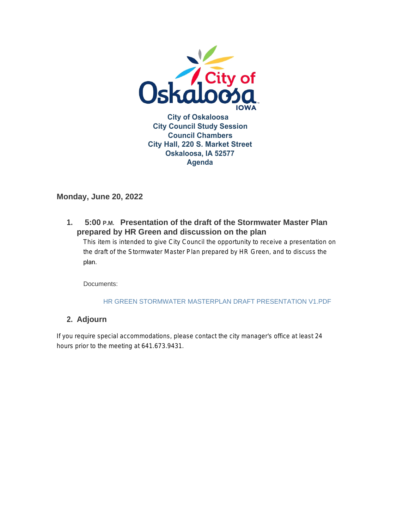

#### **Monday, June 20, 2022**

**Presentation of the draft of the Stormwater Master Plan 1. 5:00 P.M. prepared by HR Green and discussion on the plan** 

This item is intended to give City Council the opportunity to receive a presentation on the draft of the Stormwater Master Plan prepared by HR Green, and to discuss the plan.

Documents:

#### HR GREEN STORMWATER MASTERPLAN DRAFT PRESENTATION V1.PDF

#### **Adjourn 2.**

If you require special accommodations, please contact the city manager's office at least 24 hours prior to the meeting at 641.673.9431.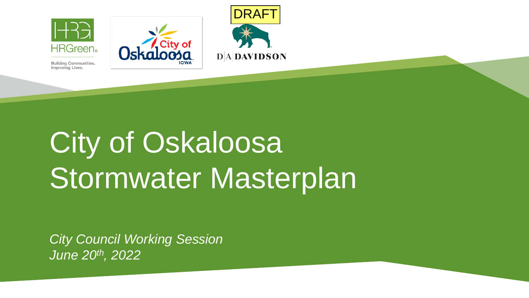

City of Oskaloosa Stormwater Masterplan

DRAFT

*City Council Working Session June 20th, 2022*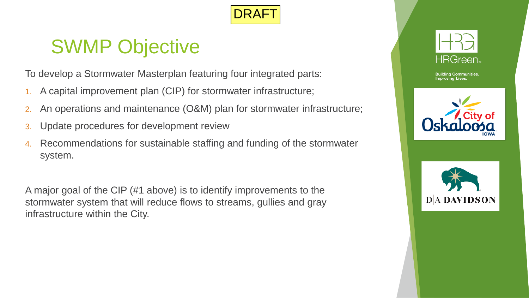

## SWMP Objective

To develop a Stormwater Masterplan featuring four integrated parts:

- 1. A capital improvement plan (CIP) for stormwater infrastructure;
- 2. An operations and maintenance (O&M) plan for stormwater infrastructure;
- 3. Update procedures for development review
- 4. Recommendations for sustainable staffing and funding of the stormwater system.

A major goal of the CIP (#1 above) is to identify improvements to the stormwater system that will reduce flows to streams, gullies and gray infrastructure within the City.





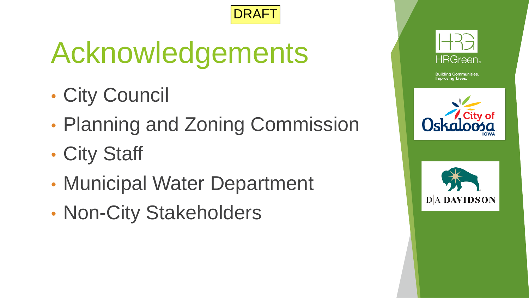

# Acknowledgements

- City Council
- Planning and Zoning Commission
- City Staff
- Municipal Water Department
- Non-City Stakeholders





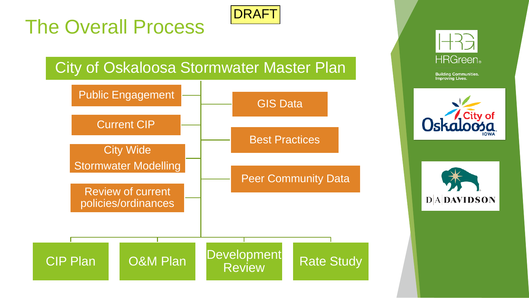## The Overall Process



## City of Oskaloosa Stormwater Master Plan







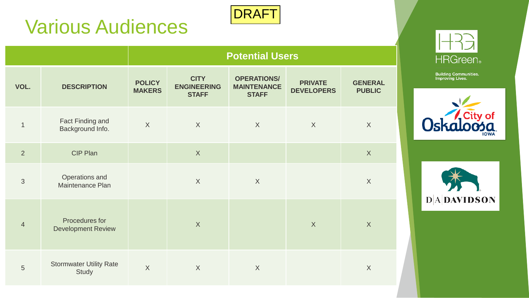## Various Audiences



|                |                                             | <b>Potential Users</b>         |                                                   |                                                          |                                     |                                 |  |  |
|----------------|---------------------------------------------|--------------------------------|---------------------------------------------------|----------------------------------------------------------|-------------------------------------|---------------------------------|--|--|
| VOL.           | <b>DESCRIPTION</b>                          | <b>POLICY</b><br><b>MAKERS</b> | <b>CITY</b><br><b>ENGINEERING</b><br><b>STAFF</b> | <b>OPERATIONS/</b><br><b>MAINTENANCE</b><br><b>STAFF</b> | <b>PRIVATE</b><br><b>DEVELOPERS</b> | <b>GENERAL</b><br><b>PUBLIC</b> |  |  |
| $\mathbf{1}$   | Fact Finding and<br>Background Info.        | $\overline{X}$                 | $\sf X$                                           | X                                                        | X                                   | X                               |  |  |
| 2              | CIP Plan                                    |                                | X                                                 |                                                          |                                     | X                               |  |  |
| 3              | Operations and<br>Maintenance Plan          |                                | $\sf X$                                           | $\sf X$                                                  |                                     | X                               |  |  |
| $\overline{4}$ | Procedures for<br><b>Development Review</b> |                                | $\sf X$                                           |                                                          | $\overline{X}$                      | $\sf X$                         |  |  |
| 5              | <b>Stormwater Utility Rate</b><br>Study     | $\overline{X}$                 | $\sf X$                                           | $\sf X$                                                  |                                     | $\boldsymbol{X}$                |  |  |





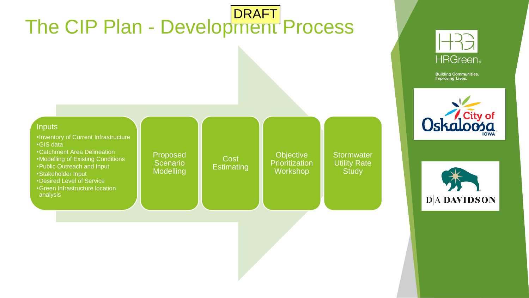





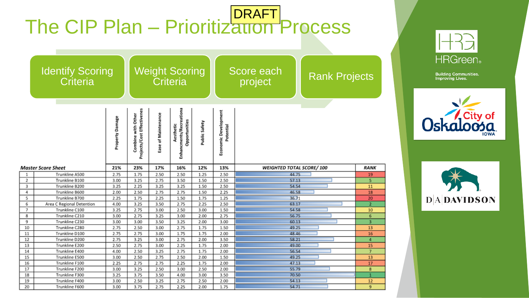|                                     |                                  |                 | The CIP Plan - Prioritization Process            |                     |                                                       |               |                                   |                                 |                      |                         |
|-------------------------------------|----------------------------------|-----------------|--------------------------------------------------|---------------------|-------------------------------------------------------|---------------|-----------------------------------|---------------------------------|----------------------|-------------------------|
| <b>Identify Scoring</b><br>Criteria |                                  |                 | <b>Weight Scoring</b><br>Criteria                |                     |                                                       |               | Score each<br>project             |                                 | <b>Rank Projects</b> |                         |
|                                     |                                  | Property Damage | Projects/Cost Effectivenes<br>Combine with Other | Ease of Maintenance | Enhancments/Recreationa<br>Opportunities<br>Aesthetic | Public Safety | Economic Development<br>Potential |                                 |                      |                         |
| <b>Master Score Sheet</b>           |                                  | 21%             | 23%                                              | 17%                 | 16%                                                   | 12%           | 13%                               | <b>WEIGHTED TOTAL SCORE/100</b> |                      | <b>RANK</b>             |
| 1                                   | Trunkline A500                   | 2.75            | 1.75                                             | 2.50                | 2.50                                                  | 1.25          |                                   |                                 |                      |                         |
| 2                                   |                                  |                 |                                                  |                     |                                                       |               | 2.50                              | 44.75                           |                      | <u>19</u>               |
|                                     | Trunkline B100                   | 3.00            | 3.25                                             | 2.75                | 3.50                                                  | 1.50          | 2.50                              | 57.13                           |                      |                         |
| 3                                   | Trunkline B200                   | 3.25            | 2.25                                             | 3.25                | 3.25                                                  | 1.50          | 2.50                              | 54.54                           |                      | 11                      |
| 4                                   | Trunkline B600                   | 2.00            | 2.50                                             | 2.75                | 2.75                                                  | 1.50          | 2.25                              | 46.58                           |                      | 18                      |
| 5                                   | Trunkline B700                   | 2.25            | 1.75                                             | 2.25                | 1.50                                                  | 1.75          | 1.25                              | 36.71                           |                      | 20                      |
| 6                                   | Area C Regional Detention        | 4.00            | 3.25                                             | 3.50                | 2.75                                                  | 2.25          | 2.50                              | 63.17                           |                      | $\overline{2}$          |
| 7                                   | Trunkline C100                   | 3.25            | 2.75                                             | 3.00                | 2.50                                                  | 3.00          | 1.50                              | 54.58                           |                      | 10                      |
| 8                                   | Trunkline C210                   | 3.00            | 2.75                                             | 3.25                | 3.00                                                  | 2.00          | 2.75                              | 56.75                           |                      | 6                       |
| 9                                   | Trunkline C230                   | 3.00            | 3.00                                             | 3.50                | 3.25                                                  | 2.00          | 3.00                              | 60.13                           |                      | $\overline{\mathbf{3}}$ |
| 10                                  | Trunkline C280                   | 2.75            | 2.50                                             | 3.00                | 2.75                                                  | 1.75          | 1.50                              | 49.25                           |                      | 13                      |
| 11                                  | Trunkline D100                   | 2.75            | 2.75                                             | 3.00                | 1.75                                                  | 1.75          | 2.00                              | 48.46                           |                      | 16                      |
| 12                                  | Trunkline D200                   | 2.75            | 3.25                                             | 3.00                | 2.75                                                  | 2.00          | 3.50                              | 58.21                           |                      | 4                       |
| 13                                  | Trunkline E200                   | 2.50            | 2.75                                             | 3.00                | 2.25                                                  | 1.75          | 2.00                              | 49.00                           |                      | 15                      |
| 14                                  | Trunkline E400                   | 4.00            | 2.50                                             | 3.25                | 2.75                                                  | 1.75          | 2.00                              | 56.54                           |                      | 7                       |
| 15                                  | Trunkline E500                   | 3.00            | 2.50                                             | 2.75                | 2.50                                                  | 2.00          | 1.50                              | 49.25                           |                      | 13                      |
| 16                                  | Trunkline F100                   | 2.25            | 2.75                                             | 2.75                | 2.25                                                  | 1.75          | 2.00                              | 47.13                           |                      | 17                      |
| 17                                  | Trunkline F200<br>Trunkline F300 | 3.00<br>3.25    | 3.25<br>3.75                                     | 2.50<br>3.50        | 3.00<br>4.00                                          | 2.50<br>3.00  | 2.00<br>3.50                      | 55.79<br>70.50                  |                      | 8<br>1                  |
| 18<br>19                            | Trunkline F400                   | 3.00            | 2.50                                             | 3.25                | 2.75                                                  | 2.50          | 2.00                              | 54.13                           |                      | 12                      |





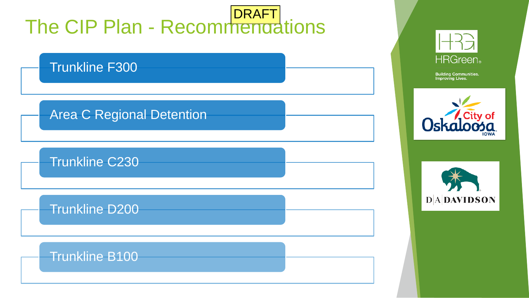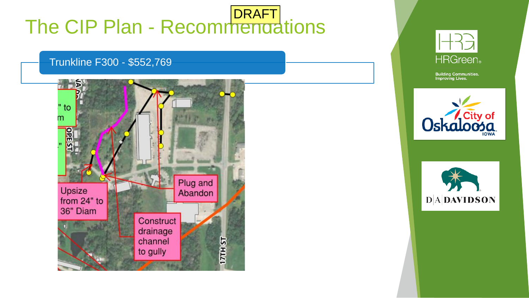#### Trunkline F300 - \$552,769







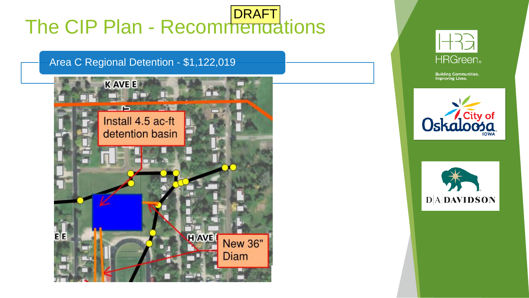Area C Regional Detention - \$1,122,019







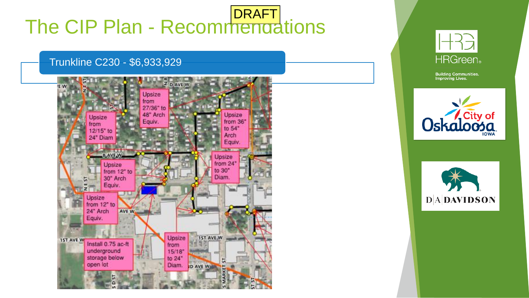#### Trunkline C230 - \$6,933,929







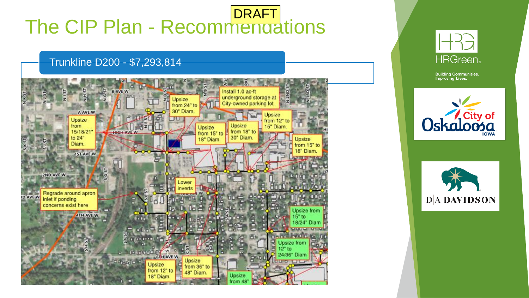#### Trunkline D200 - \$7,293,814







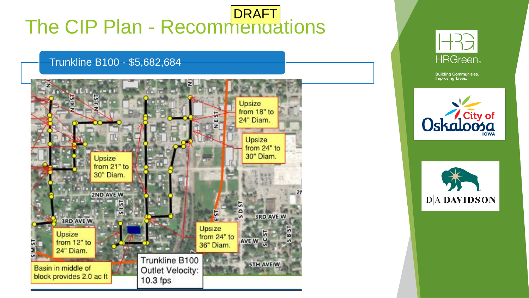#### Trunkline B100 - \$5,682,684







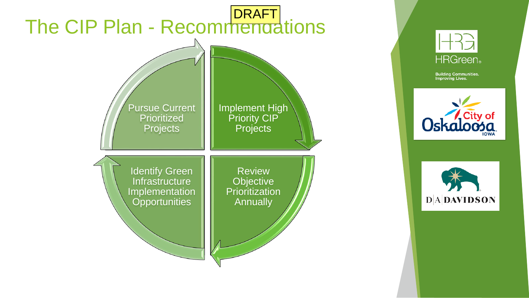





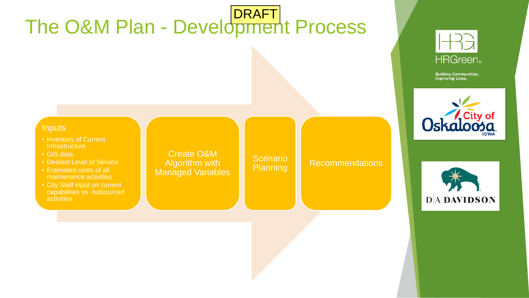## The O&M Plan - Development Process DRAFT



**Building Communities.**<br>Improving Lives.





- Inventory of Current **Infrastructure**
- GIS data
- Desired Level of Service
- Estimated costs of all maintenance activities
- City Staff input on current capabilities vs. outsourced activities

Create O&M Algorithm with Managed Variables

Scenario<br>Planning

**Recommendations** 

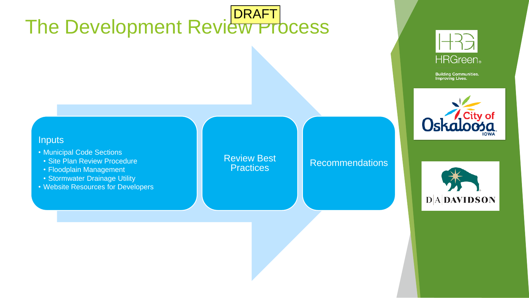### The Development Review Process DRAFT



**Building Communities.**<br>Improving Lives.



#### **Inputs**

- Municipal Code Sections
- Site Plan Review Procedure
- Floodplain Management
- Stormwater Drainage Utility
- Website Resources for Developers

Review Best

#### Practices Recommendations